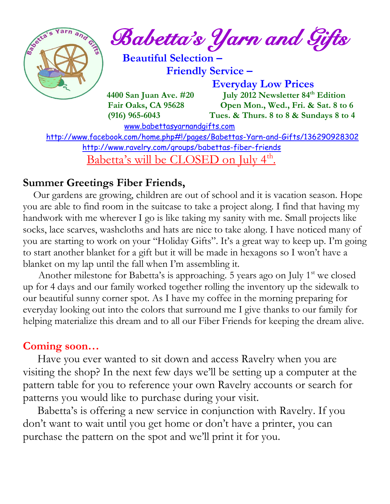

<http://www.ravelry.com/groups/babettas-fiber-friends>

Babetta's will be CLOSED on July 4<sup>th</sup>.

## **Summer Greetings Fiber Friends,**

 Our gardens are growing, children are out of school and it is vacation season. Hope you are able to find room in the suitcase to take a project along. I find that having my handwork with me wherever I go is like taking my sanity with me. Small projects like socks, lace scarves, washcloths and hats are nice to take along. I have noticed many of you are starting to work on your "Holiday Gifts". It's a great way to keep up. I'm going to start another blanket for a gift but it will be made in hexagons so I won't have a blanket on my lap until the fall when I'm assembling it.

Another milestone for Babetta's is approaching. 5 years ago on July  $1<sup>st</sup>$  we closed up for 4 days and our family worked together rolling the inventory up the sidewalk to our beautiful sunny corner spot. As I have my coffee in the morning preparing for everyday looking out into the colors that surround me I give thanks to our family for helping materialize this dream and to all our Fiber Friends for keeping the dream alive.

### **Coming soon…**

 Have you ever wanted to sit down and access Ravelry when you are visiting the shop? In the next few days we'll be setting up a computer at the pattern table for you to reference your own Ravelry accounts or search for patterns you would like to purchase during your visit.

 Babetta's is offering a new service in conjunction with Ravelry. If you don't want to wait until you get home or don't have a printer, you can purchase the pattern on the spot and we'll print it for you.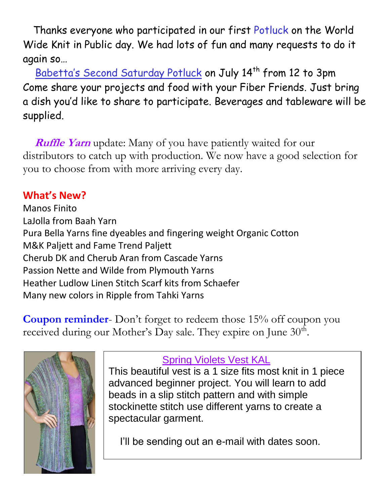Thanks everyone who participated in our first Potluck on the World Wide Knit in Public day. We had lots of fun and many requests to do it again so…

Babetta's Second Saturday Potluck on July 14<sup>th</sup> from 12 to 3pm Come share your projects and food with your Fiber Friends. Just bring a dish you'd like to share to participate. Beverages and tableware will be supplied.

**Ruffle Yarn** update: Many of you have patiently waited for our distributors to catch up with production. We now have a good selection for you to choose from with more arriving every day.

## **What's New?**

Manos Finito LaJolla from Baah Yarn Pura Bella Yarns fine dyeables and fingering weight Organic Cotton M&K Paljett and Fame Trend Paljett Cherub DK and Cherub Aran from Cascade Yarns Passion Nette and Wilde from Plymouth Yarns Heather Ludlow Linen Stitch Scarf kits from Schaefer Many new colors in Ripple from Tahki Yarns

**Coupon reminder**- Don't forget to redeem those 15% off coupon you received during our Mother's Day sale. They expire on June  $30<sup>th</sup>$ .



## Spring Violets Vest KAL

This beautiful vest is a 1 size fits most knit in 1 piece advanced beginner project. You will learn to add beads in a slip stitch pattern and with simple stockinette stitch use different yarns to create a spectacular garment.

I'll be sending out an e-mail with dates soon.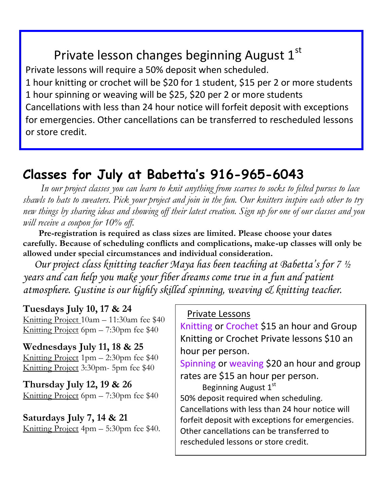# Private lesson changes beginning August  $1<sup>st</sup>$

Private lessons will require a 50% deposit when scheduled. 1 hour knitting or crochet will be \$20 for 1 student, \$15 per 2 or more students 1 hour spinning or weaving will be \$25, \$20 per 2 or more students Cancellations with less than 24 hour notice will forfeit deposit with exceptions for emergencies. Other cancellations can be transferred to rescheduled lessons or store credit.

## **Classes for July at Babetta's 916-965-6043**

 *In our project classes you can learn to knit anything from scarves to socks to felted purses to lace shawls to hats to sweaters. Pick your project and join in the fun. Our knitters inspire each other to try new things by sharing ideas and showing off their latest creation. Sign up for one of our classes and you will receive a coupon for 10% off.*

 **Pre-registration is required as class sizes are limited. Please choose your dates carefully. Because of scheduling conflicts and complications, make-up classes will only be allowed under special circumstances and individual consideration.**

*Our project class knitting teacher Maya has been teaching at Babetta's for 7 ½ years and can help you make your fiber dreams come true in a fun and patient atmosphere. Gustine is our highly skilled spinning, weaving & knitting teacher.*

### **Tuesdays July 10, 17 & 24**

Knitting Project 10am – 11:30am fee \$40 Knitting Project 6pm – 7:30pm fee \$40

**Wednesdays July 11, 18 & 25** Knitting Project 1pm – 2:30pm fee \$40 Knitting Project 3:30pm- 5pm fee \$40

**Thursday July 12, 19 & 26** Knitting Project 6pm – 7:30pm fee \$40

**Saturdays July 7, 14 & 21** Knitting Project 4pm – 5:30pm fee \$40.

#### Private Lessons

Knitting or Crochet \$15 an hour and Group Knitting or Crochet Private lessons \$10 an hour per person.

Spinning or weaving \$20 an hour and group rates are \$15 an hour per person.

Beginning August 1st 50% deposit required when scheduling. Cancellations with less than 24 hour notice will forfeit deposit with exceptions for emergencies. Other cancellations can be transferred to rescheduled lessons or store credit.